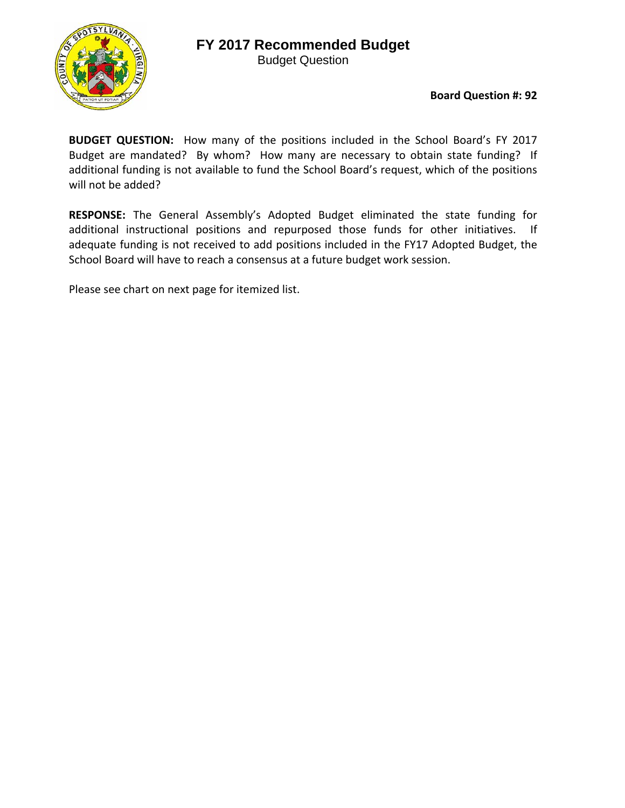## **FY 2017 Recommended Budget**



Budget Question

## **Board Question #: 92**

**BUDGET QUESTION:**  How many of the positions included in the School Board's FY 2017 Budget are mandated? By whom? How many are necessary to obtain state funding? If additional funding is not available to fund the School Board's request, which of the positions will not be added?

**RESPONSE:** The General Assembly's Adopted Budget eliminated the state funding for additional instructional positions and repurposed those funds for other initiatives. If adequate funding is not received to add positions included in the FY17 Adopted Budget, the School Board will have to reach a consensus at a future budget work session.

Please see chart on next page for itemized list.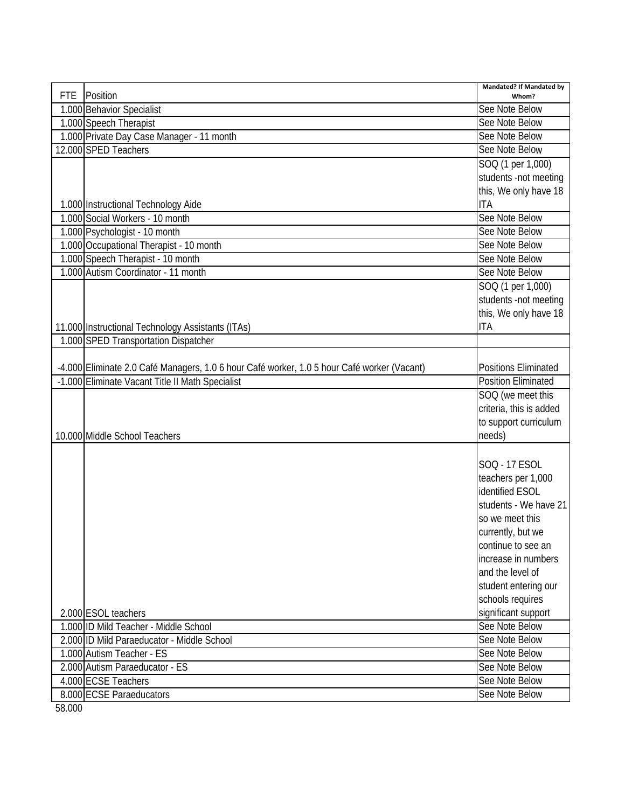| <b>FTE</b> | Position                                                                                    | <b>Mandated? If Mandated by</b><br>Whom? |
|------------|---------------------------------------------------------------------------------------------|------------------------------------------|
|            | 1.000 Behavior Specialist                                                                   | See Note Below                           |
|            | 1.000 Speech Therapist                                                                      | See Note Below                           |
|            | 1.000 Private Day Case Manager - 11 month                                                   | See Note Below                           |
|            | 12.000 SPED Teachers                                                                        | See Note Below                           |
|            |                                                                                             | SOQ (1 per 1,000)                        |
|            |                                                                                             | students -not meeting                    |
|            |                                                                                             | this, We only have 18                    |
|            | 1.000 Instructional Technology Aide                                                         | <b>ITA</b>                               |
|            | 1.000 Social Workers - 10 month                                                             | See Note Below                           |
|            | 1.000 Psychologist - 10 month                                                               | See Note Below                           |
|            | 1.000 Occupational Therapist - 10 month                                                     | See Note Below                           |
|            | 1.000 Speech Therapist - 10 month                                                           | See Note Below                           |
|            | 1.000 Autism Coordinator - 11 month                                                         | See Note Below                           |
|            |                                                                                             | SOQ (1 per 1,000)                        |
|            |                                                                                             | students -not meeting                    |
|            |                                                                                             | this, We only have 18                    |
|            | 11.000 Instructional Technology Assistants (ITAs)                                           | <b>ITA</b>                               |
|            | 1.000 SPED Transportation Dispatcher                                                        |                                          |
|            |                                                                                             |                                          |
|            | -4.000 Eliminate 2.0 Café Managers, 1.0 6 hour Café worker, 1.0 5 hour Café worker (Vacant) | <b>Positions Eliminated</b>              |
|            | -1.000 Eliminate Vacant Title II Math Specialist                                            | <b>Position Eliminated</b>               |
|            |                                                                                             | SOQ (we meet this                        |
|            |                                                                                             | criteria, this is added                  |
|            |                                                                                             | to support curriculum                    |
|            | 10.000 Middle School Teachers                                                               | needs)                                   |
|            |                                                                                             |                                          |
|            |                                                                                             | SOQ - 17 ESOL                            |
|            |                                                                                             | teachers per 1,000                       |
|            |                                                                                             | identified ESOL                          |
|            |                                                                                             | students - We have 21                    |
|            |                                                                                             | so we meet this                          |
|            |                                                                                             | currently, but we                        |
|            |                                                                                             | continue to see an                       |
|            |                                                                                             | increase in numbers                      |
|            |                                                                                             | and the level of                         |
|            |                                                                                             | student entering our                     |
|            |                                                                                             | schools requires                         |
|            | 2.000 ESOL teachers                                                                         | significant support                      |
|            | 1.000 ID Mild Teacher - Middle School                                                       | See Note Below                           |
|            | 2.000 ID Mild Paraeducator - Middle School                                                  | See Note Below                           |
|            | 1.000 Autism Teacher - ES                                                                   | See Note Below                           |
|            | 2.000 Autism Paraeducator - ES                                                              | See Note Below                           |
|            | 4.000 ECSE Teachers                                                                         | See Note Below                           |
|            | 8.000 ECSE Paraeducators                                                                    | See Note Below                           |
| 58.000     |                                                                                             |                                          |